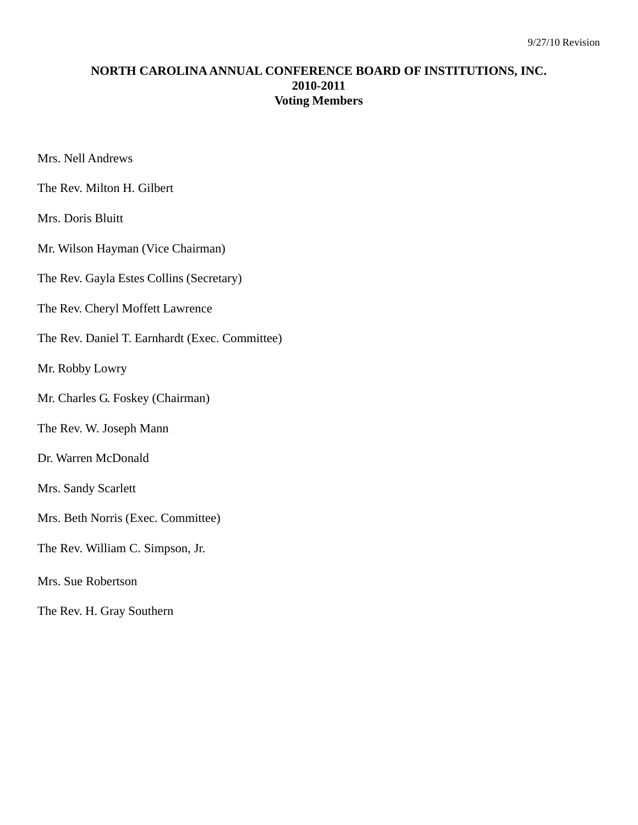## **NORTH CAROLINA ANNUAL CONFERENCE BOARD OF INSTITUTIONS, INC. 2010-2011 Voting Members**

Mrs. Nell Andrews

The Rev. Milton H. Gilbert

Mrs. Doris Bluitt

Mr. Wilson Hayman (Vice Chairman)

The Rev. Gayla Estes Collins (Secretary)

The Rev. Cheryl Moffett Lawrence

The Rev. Daniel T. Earnhardt (Exec. Committee)

Mr. Robby Lowry

Mr. Charles G. Foskey (Chairman)

The Rev. W. Joseph Mann

Dr. Warren McDonald

- Mrs. Sandy Scarlett
- Mrs. Beth Norris (Exec. Committee)
- The Rev. William C. Simpson, Jr.
- Mrs. Sue Robertson
- The Rev. H. Gray Southern